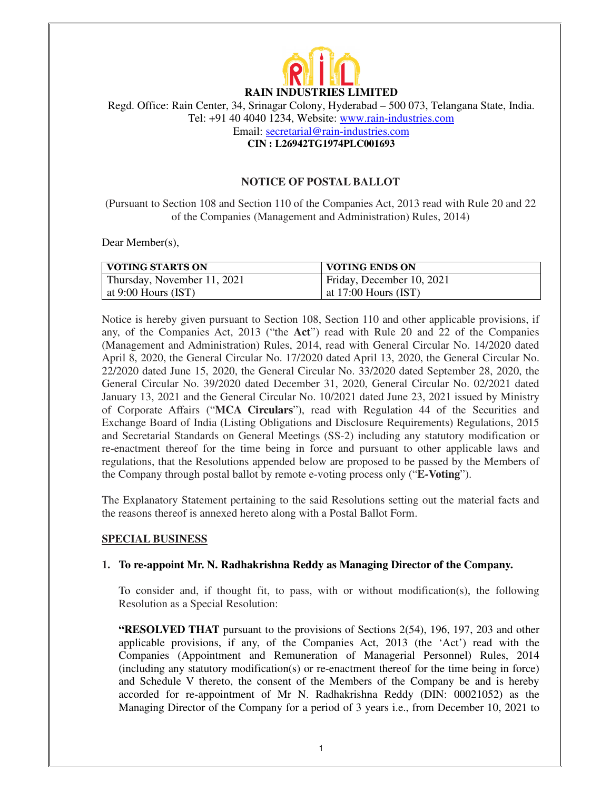

# **RAIN INDUSTRIES LIMITED**

Regd. Office: Rain Center, 34, Srinagar Colony, Hyderabad – 500 073, Telangana State, India. Tel: +91 40 4040 1234, Website: www.rain-industries.com

Email: secretarial@rain-industries.com

**CIN : L26942TG1974PLC001693** 

### **NOTICE OF POSTAL BALLOT**

(Pursuant to Section 108 and Section 110 of the Companies Act, 2013 read with Rule 20 and 22 of the Companies (Management and Administration) Rules, 2014)

Dear Member(s),

| <b>VOTING STARTS ON</b>     | <b>VOTING ENDS ON</b>     |
|-----------------------------|---------------------------|
| Thursday, November 11, 2021 | Friday, December 10, 2021 |
| at 9:00 Hours $(IST)$       | at $17:00$ Hours (IST)    |

Notice is hereby given pursuant to Section 108, Section 110 and other applicable provisions, if any, of the Companies Act, 2013 ("the **Act**") read with Rule 20 and 22 of the Companies (Management and Administration) Rules, 2014, read with General Circular No. 14/2020 dated April 8, 2020, the General Circular No. 17/2020 dated April 13, 2020, the General Circular No. 22/2020 dated June 15, 2020, the General Circular No. 33/2020 dated September 28, 2020, the General Circular No. 39/2020 dated December 31, 2020, General Circular No. 02/2021 dated January 13, 2021 and the General Circular No. 10/2021 dated June 23, 2021 issued by Ministry of Corporate Affairs ("**MCA Circulars**"), read with Regulation 44 of the Securities and Exchange Board of India (Listing Obligations and Disclosure Requirements) Regulations, 2015 and Secretarial Standards on General Meetings (SS-2) including any statutory modification or re-enactment thereof for the time being in force and pursuant to other applicable laws and regulations, that the Resolutions appended below are proposed to be passed by the Members of the Company through postal ballot by remote e-voting process only ("**E-Voting**").

The Explanatory Statement pertaining to the said Resolutions setting out the material facts and the reasons thereof is annexed hereto along with a Postal Ballot Form.

#### **SPECIAL BUSINESS**

#### **1. To re-appoint Mr. N. Radhakrishna Reddy as Managing Director of the Company.**

To consider and, if thought fit, to pass, with or without modification(s), the following Resolution as a Special Resolution:

**"RESOLVED THAT** pursuant to the provisions of Sections 2(54), 196, 197, 203 and other applicable provisions, if any, of the Companies Act, 2013 (the 'Act') read with the Companies (Appointment and Remuneration of Managerial Personnel) Rules, 2014 (including any statutory modification(s) or re-enactment thereof for the time being in force) and Schedule V thereto, the consent of the Members of the Company be and is hereby accorded for re-appointment of Mr N. Radhakrishna Reddy (DIN: 00021052) as the Managing Director of the Company for a period of 3 years i.e., from December 10, 2021 to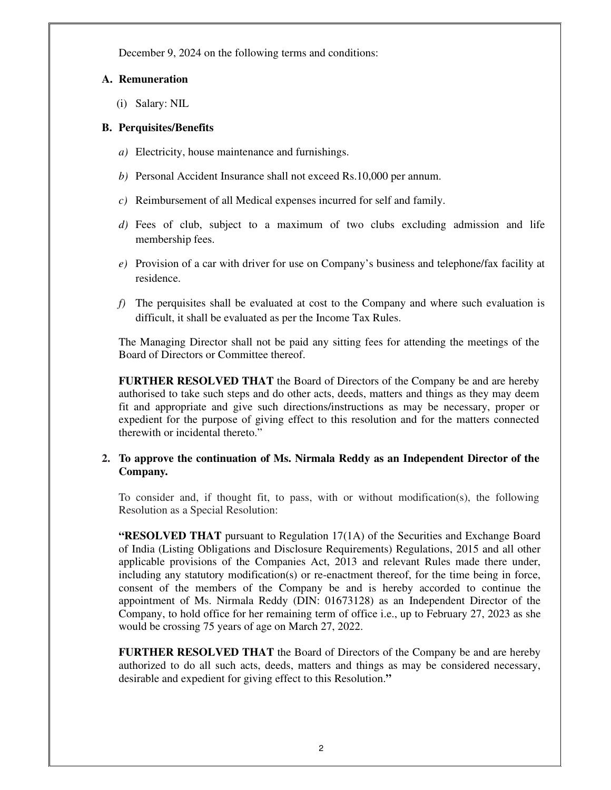December 9, 2024 on the following terms and conditions:

### **A. Remuneration**

(i) Salary: NIL

### **B. Perquisites/Benefits**

- *a)* Electricity, house maintenance and furnishings.
- *b)* Personal Accident Insurance shall not exceed Rs.10,000 per annum.
- *c)* Reimbursement of all Medical expenses incurred for self and family.
- *d)* Fees of club, subject to a maximum of two clubs excluding admission and life membership fees.
- *e)* Provision of a car with driver for use on Company's business and telephone/fax facility at residence.
- *f)* The perquisites shall be evaluated at cost to the Company and where such evaluation is difficult, it shall be evaluated as per the Income Tax Rules.

The Managing Director shall not be paid any sitting fees for attending the meetings of the Board of Directors or Committee thereof.

**FURTHER RESOLVED THAT** the Board of Directors of the Company be and are hereby authorised to take such steps and do other acts, deeds, matters and things as they may deem fit and appropriate and give such directions/instructions as may be necessary, proper or expedient for the purpose of giving effect to this resolution and for the matters connected therewith or incidental thereto."

### **2. To approve the continuation of Ms. Nirmala Reddy as an Independent Director of the Company.**

To consider and, if thought fit, to pass, with or without modification(s), the following Resolution as a Special Resolution:

**"RESOLVED THAT** pursuant to Regulation 17(1A) of the Securities and Exchange Board of India (Listing Obligations and Disclosure Requirements) Regulations, 2015 and all other applicable provisions of the Companies Act, 2013 and relevant Rules made there under, including any statutory modification(s) or re-enactment thereof, for the time being in force, consent of the members of the Company be and is hereby accorded to continue the appointment of Ms. Nirmala Reddy (DIN: 01673128) as an Independent Director of the Company, to hold office for her remaining term of office i.e., up to February 27, 2023 as she would be crossing 75 years of age on March 27, 2022.

**FURTHER RESOLVED THAT** the Board of Directors of the Company be and are hereby authorized to do all such acts, deeds, matters and things as may be considered necessary, desirable and expedient for giving effect to this Resolution.**"**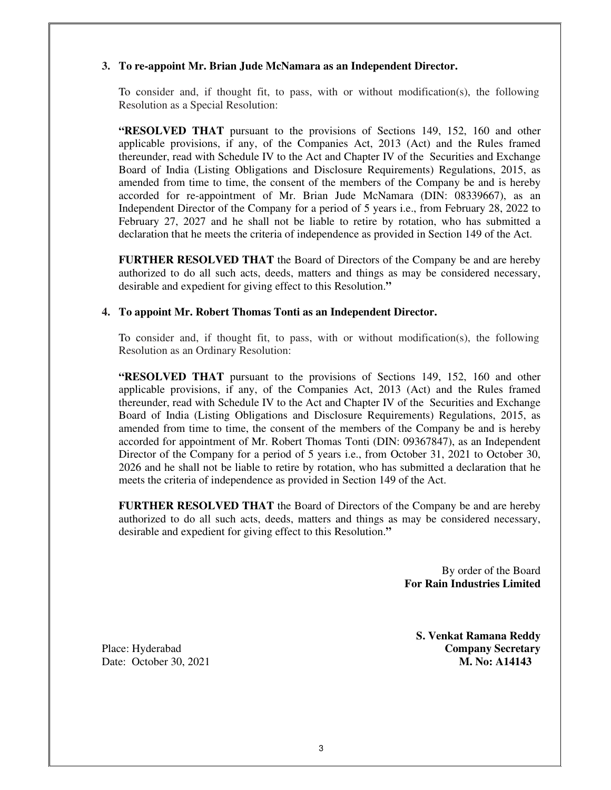### **3. To re-appoint Mr. Brian Jude McNamara as an Independent Director.**

To consider and, if thought fit, to pass, with or without modification(s), the following Resolution as a Special Resolution:

**"RESOLVED THAT** pursuant to the provisions of Sections 149, 152, 160 and other applicable provisions, if any, of the Companies Act, 2013 (Act) and the Rules framed thereunder, read with Schedule IV to the Act and Chapter IV of the Securities and Exchange Board of India (Listing Obligations and Disclosure Requirements) Regulations, 2015, as amended from time to time, the consent of the members of the Company be and is hereby accorded for re-appointment of Mr. Brian Jude McNamara (DIN: 08339667), as an Independent Director of the Company for a period of 5 years i.e., from February 28, 2022 to February 27, 2027 and he shall not be liable to retire by rotation, who has submitted a declaration that he meets the criteria of independence as provided in Section 149 of the Act.

**FURTHER RESOLVED THAT** the Board of Directors of the Company be and are hereby authorized to do all such acts, deeds, matters and things as may be considered necessary, desirable and expedient for giving effect to this Resolution.**"**

#### **4. To appoint Mr. Robert Thomas Tonti as an Independent Director.**

To consider and, if thought fit, to pass, with or without modification(s), the following Resolution as an Ordinary Resolution:

**"RESOLVED THAT** pursuant to the provisions of Sections 149, 152, 160 and other applicable provisions, if any, of the Companies Act, 2013 (Act) and the Rules framed thereunder, read with Schedule IV to the Act and Chapter IV of the Securities and Exchange Board of India (Listing Obligations and Disclosure Requirements) Regulations, 2015, as amended from time to time, the consent of the members of the Company be and is hereby accorded for appointment of Mr. Robert Thomas Tonti (DIN: 09367847), as an Independent Director of the Company for a period of 5 years i.e., from October 31, 2021 to October 30, 2026 and he shall not be liable to retire by rotation, who has submitted a declaration that he meets the criteria of independence as provided in Section 149 of the Act.

**FURTHER RESOLVED THAT** the Board of Directors of the Company be and are hereby authorized to do all such acts, deeds, matters and things as may be considered necessary, desirable and expedient for giving effect to this Resolution.**"**

> By order of the Board  **For Rain Industries Limited**

**S. Venkat Ramana Reddy** Place: Hyderabad **Company Secretary** Date: October 30, 2021 **M. No: A14143**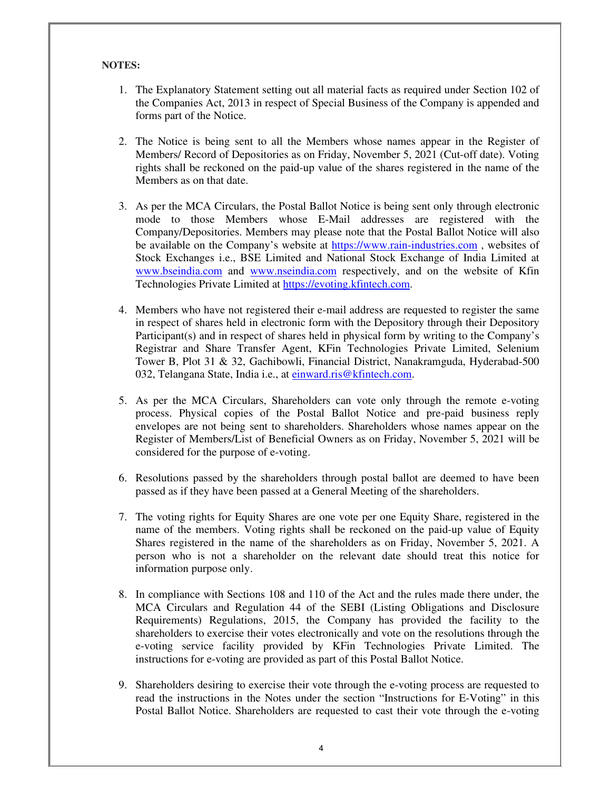### **NOTES:**

- 1. The Explanatory Statement setting out all material facts as required under Section 102 of the Companies Act, 2013 in respect of Special Business of the Company is appended and forms part of the Notice.
- 2. The Notice is being sent to all the Members whose names appear in the Register of Members/ Record of Depositories as on Friday, November 5, 2021 (Cut-off date). Voting rights shall be reckoned on the paid-up value of the shares registered in the name of the Members as on that date.
- 3. As per the MCA Circulars, the Postal Ballot Notice is being sent only through electronic mode to those Members whose E-Mail addresses are registered with the Company/Depositories. Members may please note that the Postal Ballot Notice will also be available on the Company's website at https://www.rain-industries.com , websites of Stock Exchanges i.e., BSE Limited and National Stock Exchange of India Limited at www.bseindia.com and www.nseindia.com respectively, and on the website of Kfin Technologies Private Limited at https://evoting.kfintech.com.
- 4. Members who have not registered their e-mail address are requested to register the same in respect of shares held in electronic form with the Depository through their Depository Participant(s) and in respect of shares held in physical form by writing to the Company's Registrar and Share Transfer Agent, KFin Technologies Private Limited, Selenium Tower B, Plot 31 & 32, Gachibowli, Financial District, Nanakramguda, Hyderabad-500 032, Telangana State, India i.e., at einward.ris@kfintech.com.
- 5. As per the MCA Circulars, Shareholders can vote only through the remote e-voting process. Physical copies of the Postal Ballot Notice and pre-paid business reply envelopes are not being sent to shareholders. Shareholders whose names appear on the Register of Members/List of Beneficial Owners as on Friday, November 5, 2021 will be considered for the purpose of e-voting.
- 6. Resolutions passed by the shareholders through postal ballot are deemed to have been passed as if they have been passed at a General Meeting of the shareholders.
- 7. The voting rights for Equity Shares are one vote per one Equity Share, registered in the name of the members. Voting rights shall be reckoned on the paid-up value of Equity Shares registered in the name of the shareholders as on Friday, November 5, 2021. A person who is not a shareholder on the relevant date should treat this notice for information purpose only.
- 8. In compliance with Sections 108 and 110 of the Act and the rules made there under, the MCA Circulars and Regulation 44 of the SEBI (Listing Obligations and Disclosure Requirements) Regulations, 2015, the Company has provided the facility to the shareholders to exercise their votes electronically and vote on the resolutions through the e-voting service facility provided by KFin Technologies Private Limited. The instructions for e-voting are provided as part of this Postal Ballot Notice.
- 9. Shareholders desiring to exercise their vote through the e-voting process are requested to read the instructions in the Notes under the section "Instructions for E-Voting" in this Postal Ballot Notice. Shareholders are requested to cast their vote through the e-voting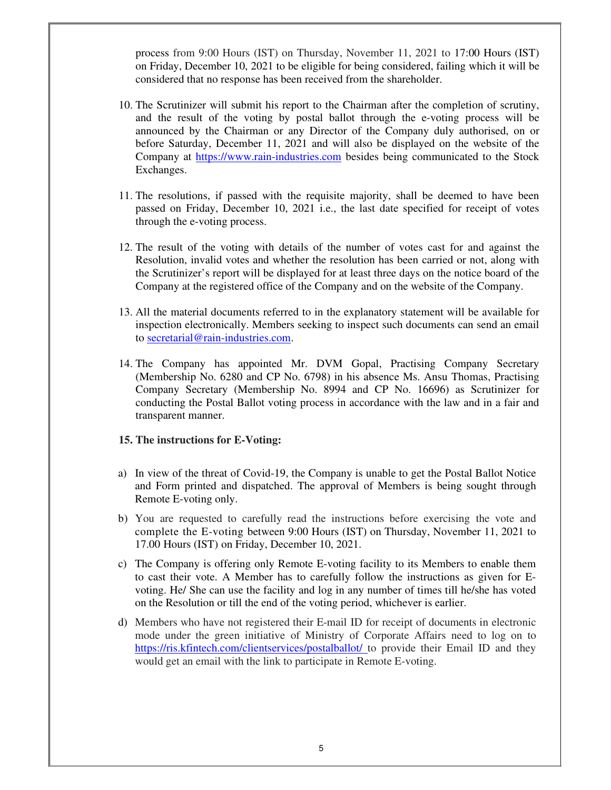process from 9:00 Hours (IST) on Thursday, November 11, 2021 to 17:00 Hours (IST) on Friday, December 10, 2021 to be eligible for being considered, failing which it will be considered that no response has been received from the shareholder.

- 10. The Scrutinizer will submit his report to the Chairman after the completion of scrutiny, and the result of the voting by postal ballot through the e-voting process will be announced by the Chairman or any Director of the Company duly authorised, on or before Saturday, December 11, 2021 and will also be displayed on the website of the Company at https://www.rain-industries.com besides being communicated to the Stock Exchanges.
- 11. The resolutions, if passed with the requisite majority, shall be deemed to have been passed on Friday, December 10, 2021 i.e., the last date specified for receipt of votes through the e-voting process.
- 12. The result of the voting with details of the number of votes cast for and against the Resolution, invalid votes and whether the resolution has been carried or not, along with the Scrutinizer's report will be displayed for at least three days on the notice board of the Company at the registered office of the Company and on the website of the Company.
- 13. All the material documents referred to in the explanatory statement will be available for inspection electronically. Members seeking to inspect such documents can send an email to secretarial@rain-industries.com.
- 14. The Company has appointed Mr. DVM Gopal, Practising Company Secretary (Membership No. 6280 and CP No. 6798) in his absence Ms. Ansu Thomas, Practising Company Secretary (Membership No. 8994 and CP No. 16696) as Scrutinizer for conducting the Postal Ballot voting process in accordance with the law and in a fair and transparent manner.

#### **15. The instructions for E-Voting:**

- a) In view of the threat of Covid-19, the Company is unable to get the Postal Ballot Notice and Form printed and dispatched. The approval of Members is being sought through Remote E-voting only.
- b) You are requested to carefully read the instructions before exercising the vote and complete the E-voting between 9:00 Hours (IST) on Thursday, November 11, 2021 to 17.00 Hours (IST) on Friday, December 10, 2021.
- c) The Company is offering only Remote E-voting facility to its Members to enable them to cast their vote. A Member has to carefully follow the instructions as given for Evoting. He/ She can use the facility and log in any number of times till he/she has voted on the Resolution or till the end of the voting period, whichever is earlier.
- d) Members who have not registered their E-mail ID for receipt of documents in electronic mode under the green initiative of Ministry of Corporate Affairs need to log on to https://ris.kfintech.com/clientservices/postalballot/ to provide their Email ID and they would get an email with the link to participate in Remote E-voting.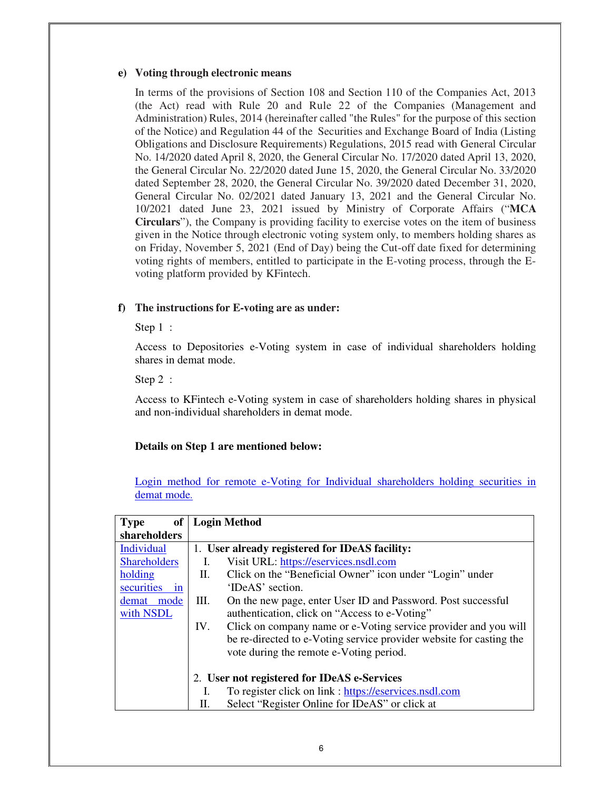#### **e) Voting through electronic means**

In terms of the provisions of Section 108 and Section 110 of the Companies Act, 2013 (the Act) read with Rule 20 and Rule 22 of the Companies (Management and Administration) Rules, 2014 (hereinafter called "the Rules" for the purpose of this section of the Notice) and Regulation 44 of the Securities and Exchange Board of India (Listing Obligations and Disclosure Requirements) Regulations, 2015 read with General Circular No. 14/2020 dated April 8, 2020, the General Circular No. 17/2020 dated April 13, 2020, the General Circular No. 22/2020 dated June 15, 2020, the General Circular No. 33/2020 dated September 28, 2020, the General Circular No. 39/2020 dated December 31, 2020, General Circular No. 02/2021 dated January 13, 2021 and the General Circular No. 10/2021 dated June 23, 2021 issued by Ministry of Corporate Affairs ("**MCA Circulars**"), the Company is providing facility to exercise votes on the item of business given in the Notice through electronic voting system only, to members holding shares as on Friday, November 5, 2021 (End of Day) being the Cut-off date fixed for determining voting rights of members, entitled to participate in the E-voting process, through the Evoting platform provided by KFintech.

### **f) The instructions for E-voting are as under:**

Step 1 :

Access to Depositories e-Voting system in case of individual shareholders holding shares in demat mode.

Step 2 :

Access to KFintech e-Voting system in case of shareholders holding shares in physical and non-individual shareholders in demat mode.

#### **Details on Step 1 are mentioned below:**

Login method for remote e-Voting for Individual shareholders holding securities in demat mode.

| of<br><b>Type</b>   |     | <b>Login Method</b>                                                 |  |  |
|---------------------|-----|---------------------------------------------------------------------|--|--|
| shareholders        |     |                                                                     |  |  |
| Individual          |     | 1. User already registered for IDeAS facility:                      |  |  |
| <b>Shareholders</b> | I.  | Visit URL: https://eservices.nsdl.com                               |  |  |
| holding             | П.  | Click on the "Beneficial Owner" icon under "Login" under            |  |  |
| securities<br>in    |     | 'IDeAS' section.                                                    |  |  |
| demat<br>mode       | Ш.  | On the new page, enter User ID and Password. Post successful        |  |  |
| with NSDL           |     | authentication, click on "Access to e-Voting"                       |  |  |
|                     | IV. | Click on company name or e-Voting service provider and you will     |  |  |
|                     |     | be re-directed to e-Voting service provider website for casting the |  |  |
|                     |     | vote during the remote e-Voting period.                             |  |  |
|                     |     |                                                                     |  |  |
|                     |     | 2. User not registered for IDeAS e-Services                         |  |  |
|                     | 1.  | To register click on link : https://eservices.nsdl.com              |  |  |
|                     | П.  | Select "Register Online for IDeAS" or click at                      |  |  |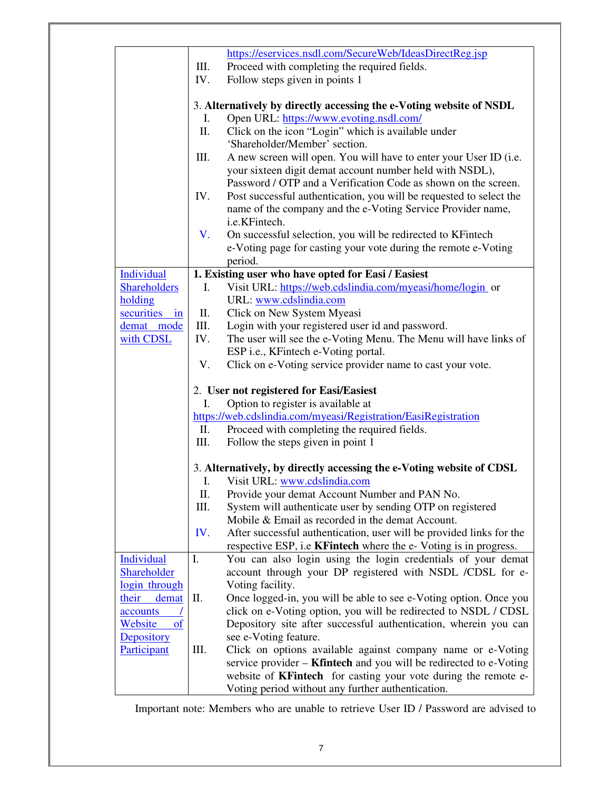|                          |                | https://eservices.nsdl.com/SecureWeb/IdeasDirectReg.jsp                                                                    |  |  |  |  |
|--------------------------|----------------|----------------------------------------------------------------------------------------------------------------------------|--|--|--|--|
|                          | Ш.             | Proceed with completing the required fields.                                                                               |  |  |  |  |
|                          | IV.            | Follow steps given in points 1                                                                                             |  |  |  |  |
|                          |                | 3. Alternatively by directly accessing the e-Voting website of NSDL                                                        |  |  |  |  |
|                          | Ι.             | Open URL: https://www.evoting.nsdl.com/                                                                                    |  |  |  |  |
|                          | Π.             | Click on the icon "Login" which is available under                                                                         |  |  |  |  |
|                          |                | 'Shareholder/Member' section.                                                                                              |  |  |  |  |
|                          | Ш.             | A new screen will open. You will have to enter your User ID (i.e.                                                          |  |  |  |  |
|                          |                | your sixteen digit demat account number held with NSDL),                                                                   |  |  |  |  |
|                          |                | Password / OTP and a Verification Code as shown on the screen.                                                             |  |  |  |  |
|                          | IV.            | Post successful authentication, you will be requested to select the                                                        |  |  |  |  |
|                          |                | name of the company and the e-Voting Service Provider name,<br>i.e.KFintech.                                               |  |  |  |  |
|                          | V.             | On successful selection, you will be redirected to KFintech                                                                |  |  |  |  |
|                          |                | e-Voting page for casting your vote during the remote e-Voting                                                             |  |  |  |  |
|                          |                | period.                                                                                                                    |  |  |  |  |
| <b>Individual</b>        |                | 1. Existing user who have opted for Easi / Easiest                                                                         |  |  |  |  |
| <b>Shareholders</b>      | I.             | Visit URL: https://web.cdslindia.com/myeasi/home/login_or                                                                  |  |  |  |  |
| holding                  |                | URL: www.cdslindia.com                                                                                                     |  |  |  |  |
| securities in            | П.             | Click on New System Myeasi                                                                                                 |  |  |  |  |
| demat mode               | Ш.             | Login with your registered user id and password.                                                                           |  |  |  |  |
| with CDSL                | IV.            | The user will see the e-Voting Menu. The Menu will have links of                                                           |  |  |  |  |
|                          |                | ESP i.e., KFintech e-Voting portal.                                                                                        |  |  |  |  |
|                          | V.             | Click on e-Voting service provider name to cast your vote.                                                                 |  |  |  |  |
|                          |                | 2. User not registered for Easi/Easiest                                                                                    |  |  |  |  |
|                          | I.             | Option to register is available at                                                                                         |  |  |  |  |
|                          |                | https://web.cdslindia.com/myeasi/Registration/EasiRegistration                                                             |  |  |  |  |
|                          | П.             | Proceed with completing the required fields.                                                                               |  |  |  |  |
|                          | Ш.             | Follow the steps given in point 1                                                                                          |  |  |  |  |
|                          |                | 3. Alternatively, by directly accessing the e-Voting website of CDSL                                                       |  |  |  |  |
|                          | $\mathbf{I}$ . | Visit URL: www.cdslindia.com                                                                                               |  |  |  |  |
|                          | П.             | Provide your demat Account Number and PAN No.                                                                              |  |  |  |  |
|                          | III.           | System will authenticate user by sending OTP on registered                                                                 |  |  |  |  |
|                          |                | Mobile & Email as recorded in the demat Account.                                                                           |  |  |  |  |
|                          | IV.            | After successful authentication, user will be provided links for the                                                       |  |  |  |  |
|                          |                | respective ESP, i.e <b>KFintech</b> where the e-Voting is in progress.                                                     |  |  |  |  |
| Individual               | I.             | You can also login using the login credentials of your demat                                                               |  |  |  |  |
| Shareholder              |                | account through your DP registered with NSDL /CDSL for e-                                                                  |  |  |  |  |
| login through            |                | Voting facility.                                                                                                           |  |  |  |  |
| their<br>demat           | П.             | Once logged-in, you will be able to see e-Voting option. Once you                                                          |  |  |  |  |
| accounts                 |                | click on e-Voting option, you will be redirected to NSDL / CDSL                                                            |  |  |  |  |
| Website<br><sub>of</sub> |                | Depository site after successful authentication, wherein you can                                                           |  |  |  |  |
| Depository               |                | see e-Voting feature.                                                                                                      |  |  |  |  |
| Participant              | III.           | Click on options available against company name or e-Voting                                                                |  |  |  |  |
|                          |                | service provider – <b>Kfintech</b> and you will be redirected to e-Voting                                                  |  |  |  |  |
|                          |                | website of <b>KFintech</b> for casting your vote during the remote e-<br>Voting period without any further authentication. |  |  |  |  |
|                          |                |                                                                                                                            |  |  |  |  |

Important note: Members who are unable to retrieve User ID / Password are advised to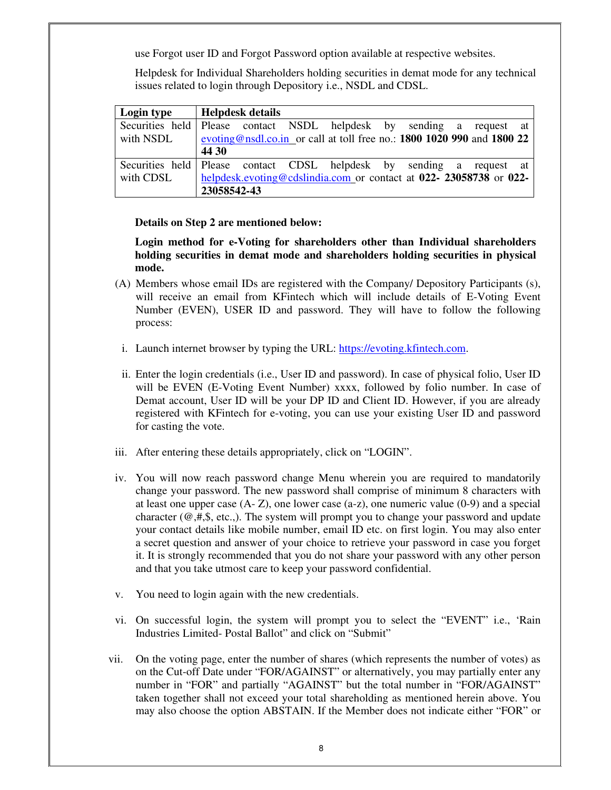use Forgot user ID and Forgot Password option available at respective websites.

Helpdesk for Individual Shareholders holding securities in demat mode for any technical issues related to login through Depository i.e., NSDL and CDSL.

| Login type | <b>Helpdesk details</b>                                                |
|------------|------------------------------------------------------------------------|
|            | Securities held Please contact NSDL helpdesk by sending a request at   |
| with NSDL  | evoting@nsdl.co.in or call at toll free no.: 1800 1020 990 and 1800 22 |
|            | 44 30                                                                  |
|            | Securities held Please contact CDSL helpdesk by sending a request at   |
| with CDSL  | helpdesk.evoting@cdslindia.com or contact at 022- 23058738 or 022-     |
|            | 23058542-43                                                            |

**Details on Step 2 are mentioned below:** 

**Login method for e-Voting for shareholders other than Individual shareholders holding securities in demat mode and shareholders holding securities in physical mode.** 

- (A) Members whose email IDs are registered with the Company/ Depository Participants (s), will receive an email from KFintech which will include details of E-Voting Event Number (EVEN), USER ID and password. They will have to follow the following process:
- i. Launch internet browser by typing the URL: https://evoting.kfintech.com.
- ii. Enter the login credentials (i.e., User ID and password). In case of physical folio, User ID will be EVEN (E-Voting Event Number) xxxx, followed by folio number. In case of Demat account, User ID will be your DP ID and Client ID. However, if you are already registered with KFintech for e-voting, you can use your existing User ID and password for casting the vote.
- iii. After entering these details appropriately, click on "LOGIN".
- iv. You will now reach password change Menu wherein you are required to mandatorily change your password. The new password shall comprise of minimum 8 characters with at least one upper case  $(A - Z)$ , one lower case  $(a-z)$ , one numeric value  $(0-9)$  and a special character  $(\omega, \#, \S, etc.).$  The system will prompt you to change your password and update your contact details like mobile number, email ID etc. on first login. You may also enter a secret question and answer of your choice to retrieve your password in case you forget it. It is strongly recommended that you do not share your password with any other person and that you take utmost care to keep your password confidential.
- v. You need to login again with the new credentials.
- vi. On successful login, the system will prompt you to select the "EVENT" i.e., 'Rain Industries Limited- Postal Ballot" and click on "Submit"
- vii. On the voting page, enter the number of shares (which represents the number of votes) as on the Cut-off Date under "FOR/AGAINST" or alternatively, you may partially enter any number in "FOR" and partially "AGAINST" but the total number in "FOR/AGAINST" taken together shall not exceed your total shareholding as mentioned herein above. You may also choose the option ABSTAIN. If the Member does not indicate either "FOR" or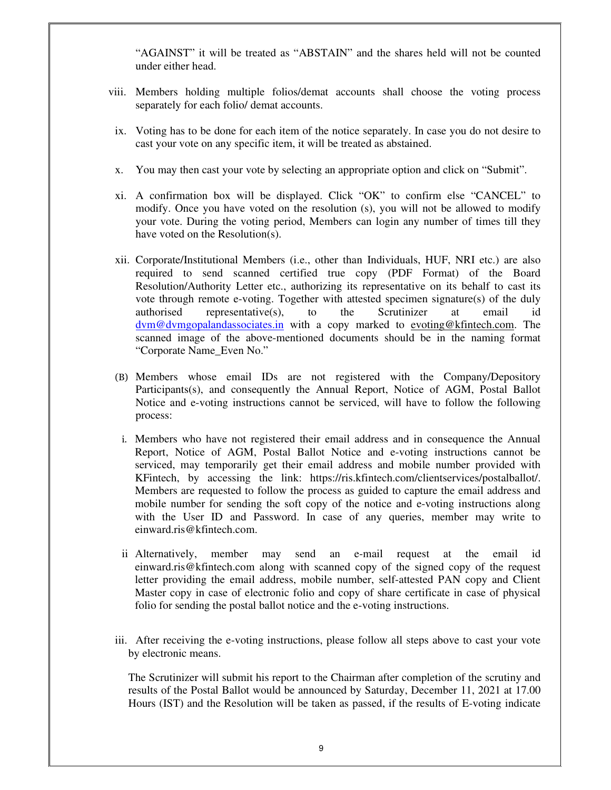"AGAINST" it will be treated as "ABSTAIN" and the shares held will not be counted under either head.

- viii. Members holding multiple folios/demat accounts shall choose the voting process separately for each folio/ demat accounts.
- ix. Voting has to be done for each item of the notice separately. In case you do not desire to cast your vote on any specific item, it will be treated as abstained.
- x. You may then cast your vote by selecting an appropriate option and click on "Submit".
- xi. A confirmation box will be displayed. Click "OK" to confirm else "CANCEL" to modify. Once you have voted on the resolution (s), you will not be allowed to modify your vote. During the voting period, Members can login any number of times till they have voted on the Resolution(s).
- xii. Corporate/Institutional Members (i.e., other than Individuals, HUF, NRI etc.) are also required to send scanned certified true copy (PDF Format) of the Board Resolution/Authority Letter etc., authorizing its representative on its behalf to cast its vote through remote e-voting. Together with attested specimen signature(s) of the duly authorised representative(s), to the Scrutinizer at email id dvm@dvmgopalandassociates.in with a copy marked to evoting@kfintech.com. The scanned image of the above-mentioned documents should be in the naming format "Corporate Name\_Even No."
- (B) Members whose email IDs are not registered with the Company/Depository Participants(s), and consequently the Annual Report, Notice of AGM, Postal Ballot Notice and e-voting instructions cannot be serviced, will have to follow the following process:
	- i. Members who have not registered their email address and in consequence the Annual Report, Notice of AGM, Postal Ballot Notice and e-voting instructions cannot be serviced, may temporarily get their email address and mobile number provided with KFintech, by accessing the link: https://ris.kfintech.com/clientservices/postalballot/. Members are requested to follow the process as guided to capture the email address and mobile number for sending the soft copy of the notice and e-voting instructions along with the User ID and Password. In case of any queries, member may write to einward.ris@kfintech.com.
	- ii Alternatively, member may send an e-mail request at the email id einward.ris@kfintech.com along with scanned copy of the signed copy of the request letter providing the email address, mobile number, self-attested PAN copy and Client Master copy in case of electronic folio and copy of share certificate in case of physical folio for sending the postal ballot notice and the e-voting instructions.
- iii. After receiving the e-voting instructions, please follow all steps above to cast your vote by electronic means.

The Scrutinizer will submit his report to the Chairman after completion of the scrutiny and results of the Postal Ballot would be announced by Saturday, December 11, 2021 at 17.00 Hours (IST) and the Resolution will be taken as passed, if the results of E-voting indicate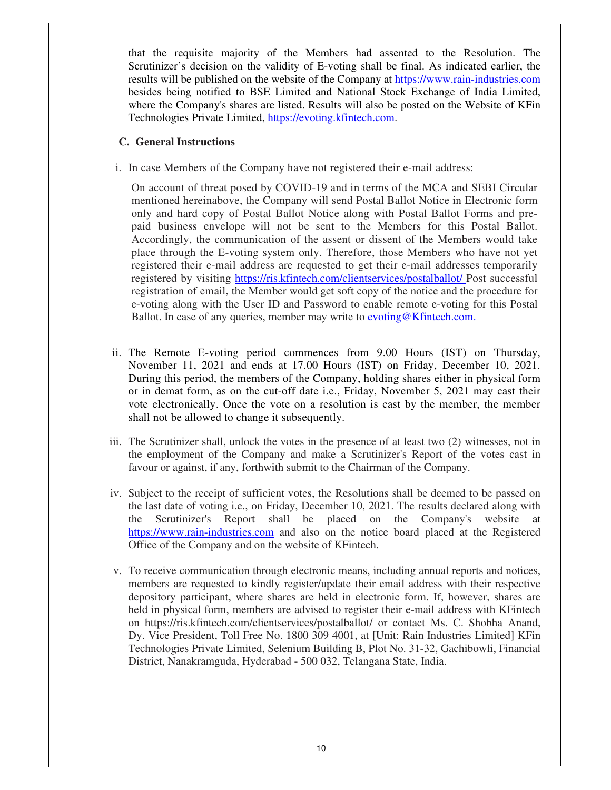that the requisite majority of the Members had assented to the Resolution. The Scrutinizer's decision on the validity of E-voting shall be final. As indicated earlier, the results will be published on the website of the Company at https://www.rain-industries.com besides being notified to BSE Limited and National Stock Exchange of India Limited, where the Company's shares are listed. Results will also be posted on the Website of KFin Technologies Private Limited, https://evoting.kfintech.com.

### **C. General Instructions**

i. In case Members of the Company have not registered their e-mail address:

On account of threat posed by COVID-19 and in terms of the MCA and SEBI Circular mentioned hereinabove, the Company will send Postal Ballot Notice in Electronic form only and hard copy of Postal Ballot Notice along with Postal Ballot Forms and prepaid business envelope will not be sent to the Members for this Postal Ballot. Accordingly, the communication of the assent or dissent of the Members would take place through the E-voting system only. Therefore, those Members who have not yet registered their e-mail address are requested to get their e-mail addresses temporarily registered by visiting https://ris.kfintech.com/clientservices/postalballot/ Post successful registration of email, the Member would get soft copy of the notice and the procedure for e-voting along with the User ID and Password to enable remote e-voting for this Postal Ballot. In case of any queries, member may write to **evoting@Kfintech.com.** 

- ii. The Remote E-voting period commences from 9.00 Hours (IST) on Thursday, November 11, 2021 and ends at 17.00 Hours (IST) on Friday, December 10, 2021. During this period, the members of the Company, holding shares either in physical form or in demat form, as on the cut-off date i.e., Friday, November 5, 2021 may cast their vote electronically. Once the vote on a resolution is cast by the member, the member shall not be allowed to change it subsequently.
- iii. The Scrutinizer shall, unlock the votes in the presence of at least two (2) witnesses, not in the employment of the Company and make a Scrutinizer's Report of the votes cast in favour or against, if any, forthwith submit to the Chairman of the Company.
- iv. Subject to the receipt of sufficient votes, the Resolutions shall be deemed to be passed on the last date of voting i.e., on Friday, December 10, 2021. The results declared along with the Scrutinizer's Report shall be placed on the Company's website at https://www.rain-industries.com and also on the notice board placed at the Registered Office of the Company and on the website of KFintech.
- v. To receive communication through electronic means, including annual reports and notices, members are requested to kindly register/update their email address with their respective depository participant, where shares are held in electronic form. If, however, shares are held in physical form, members are advised to register their e-mail address with KFintech on https://ris.kfintech.com/clientservices/postalballot/ or contact Ms. C. Shobha Anand, Dy. Vice President, Toll Free No. 1800 309 4001, at [Unit: Rain Industries Limited] KFin Technologies Private Limited, Selenium Building B, Plot No. 31-32, Gachibowli, Financial District, Nanakramguda, Hyderabad - 500 032, Telangana State, India.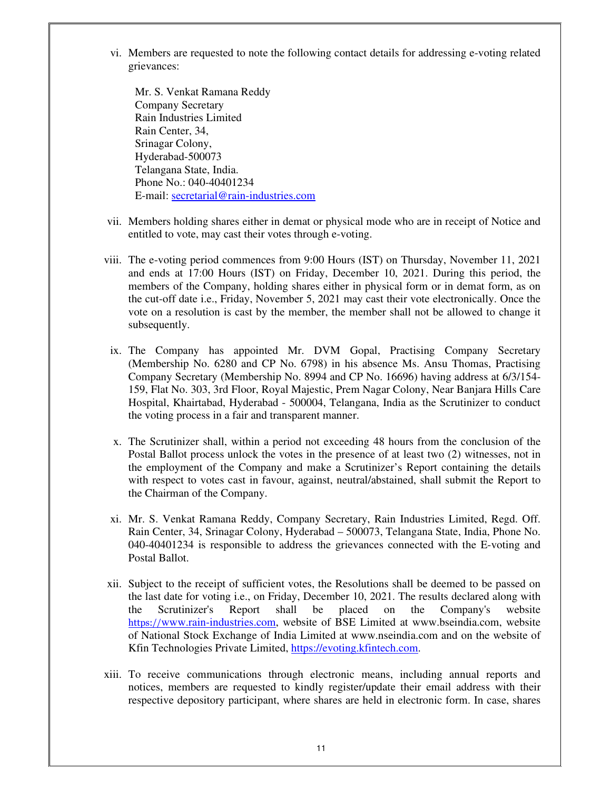vi. Members are requested to note the following contact details for addressing e-voting related grievances:

Mr. S. Venkat Ramana Reddy Company Secretary Rain Industries Limited Rain Center, 34, Srinagar Colony, Hyderabad-500073 Telangana State, India. Phone No.: 040-40401234 E-mail: secretarial@rain-industries.com

- vii. Members holding shares either in demat or physical mode who are in receipt of Notice and entitled to vote, may cast their votes through e-voting.
- viii. The e-voting period commences from 9:00 Hours (IST) on Thursday, November 11, 2021 and ends at 17:00 Hours (IST) on Friday, December 10, 2021. During this period, the members of the Company, holding shares either in physical form or in demat form, as on the cut-off date i.e., Friday, November 5, 2021 may cast their vote electronically. Once the vote on a resolution is cast by the member, the member shall not be allowed to change it subsequently.
- ix. The Company has appointed Mr. DVM Gopal, Practising Company Secretary (Membership No. 6280 and CP No. 6798) in his absence Ms. Ansu Thomas, Practising Company Secretary (Membership No. 8994 and CP No. 16696) having address at 6/3/154- 159, Flat No. 303, 3rd Floor, Royal Majestic, Prem Nagar Colony, Near Banjara Hills Care Hospital, Khairtabad, Hyderabad - 500004, Telangana, India as the Scrutinizer to conduct the voting process in a fair and transparent manner.
- x. The Scrutinizer shall, within a period not exceeding 48 hours from the conclusion of the Postal Ballot process unlock the votes in the presence of at least two (2) witnesses, not in the employment of the Company and make a Scrutinizer's Report containing the details with respect to votes cast in favour, against, neutral/abstained, shall submit the Report to the Chairman of the Company.
- xi. Mr. S. Venkat Ramana Reddy, Company Secretary, Rain Industries Limited, Regd. Off. Rain Center, 34, Srinagar Colony, Hyderabad – 500073, Telangana State, India, Phone No. 040-40401234 is responsible to address the grievances connected with the E-voting and Postal Ballot.
- xii. Subject to the receipt of sufficient votes, the Resolutions shall be deemed to be passed on the last date for voting i.e., on Friday, December 10, 2021. The results declared along with the Scrutinizer's Report shall be placed on the Company's website https://www.rain-industries.com, website of BSE Limited at www.bseindia.com, website of National Stock Exchange of India Limited at www.nseindia.com and on the website of Kfin Technologies Private Limited, https://evoting.kfintech.com.
- xiii. To receive communications through electronic means, including annual reports and notices, members are requested to kindly register/update their email address with their respective depository participant, where shares are held in electronic form. In case, shares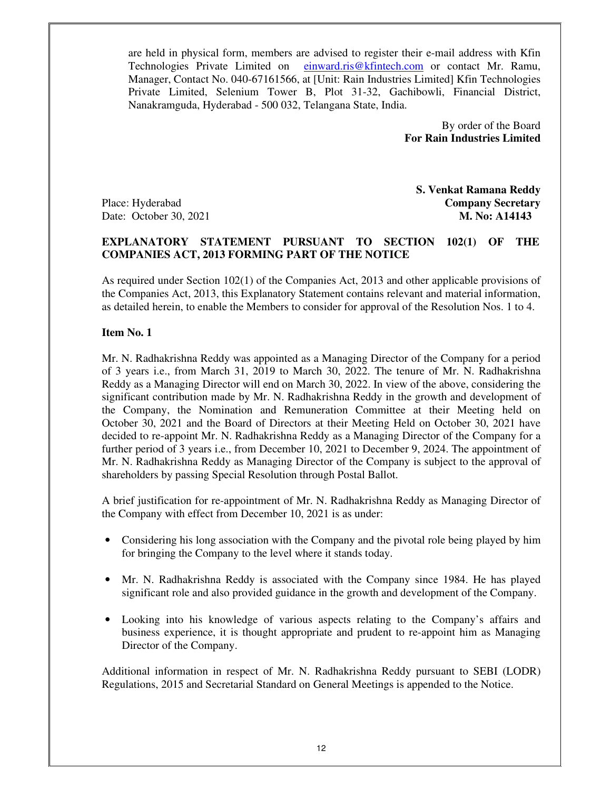are held in physical form, members are advised to register their e-mail address with Kfin Technologies Private Limited on einward.ris@kfintech.com or contact Mr. Ramu, Manager, Contact No. 040-67161566, at [Unit: Rain Industries Limited] Kfin Technologies Private Limited, Selenium Tower B, Plot 31-32, Gachibowli, Financial District, Nanakramguda, Hyderabad - 500 032, Telangana State, India.

> By order of the Board  **For Rain Industries Limited**

**S. Venkat Ramana Reddy** Place: Hyderabad **Company Secretary** Date: October 30, 2021 **M. No: A14143** 

### **EXPLANATORY STATEMENT PURSUANT TO SECTION 102(1) OF THE COMPANIES ACT, 2013 FORMING PART OF THE NOTICE**

As required under Section 102(1) of the Companies Act, 2013 and other applicable provisions of the Companies Act, 2013, this Explanatory Statement contains relevant and material information, as detailed herein, to enable the Members to consider for approval of the Resolution Nos. 1 to 4.

#### **Item No. 1**

Mr. N. Radhakrishna Reddy was appointed as a Managing Director of the Company for a period of 3 years i.e., from March 31, 2019 to March 30, 2022. The tenure of Mr. N. Radhakrishna Reddy as a Managing Director will end on March 30, 2022. In view of the above, considering the significant contribution made by Mr. N. Radhakrishna Reddy in the growth and development of the Company, the Nomination and Remuneration Committee at their Meeting held on October 30, 2021 and the Board of Directors at their Meeting Held on October 30, 2021 have decided to re-appoint Mr. N. Radhakrishna Reddy as a Managing Director of the Company for a further period of 3 years i.e., from December 10, 2021 to December 9, 2024. The appointment of Mr. N. Radhakrishna Reddy as Managing Director of the Company is subject to the approval of shareholders by passing Special Resolution through Postal Ballot.

A brief justification for re-appointment of Mr. N. Radhakrishna Reddy as Managing Director of the Company with effect from December 10, 2021 is as under:

- Considering his long association with the Company and the pivotal role being played by him for bringing the Company to the level where it stands today.
- Mr. N. Radhakrishna Reddy is associated with the Company since 1984. He has played significant role and also provided guidance in the growth and development of the Company.
- Looking into his knowledge of various aspects relating to the Company's affairs and business experience, it is thought appropriate and prudent to re-appoint him as Managing Director of the Company.

Additional information in respect of Mr. N. Radhakrishna Reddy pursuant to SEBI (LODR) Regulations, 2015 and Secretarial Standard on General Meetings is appended to the Notice.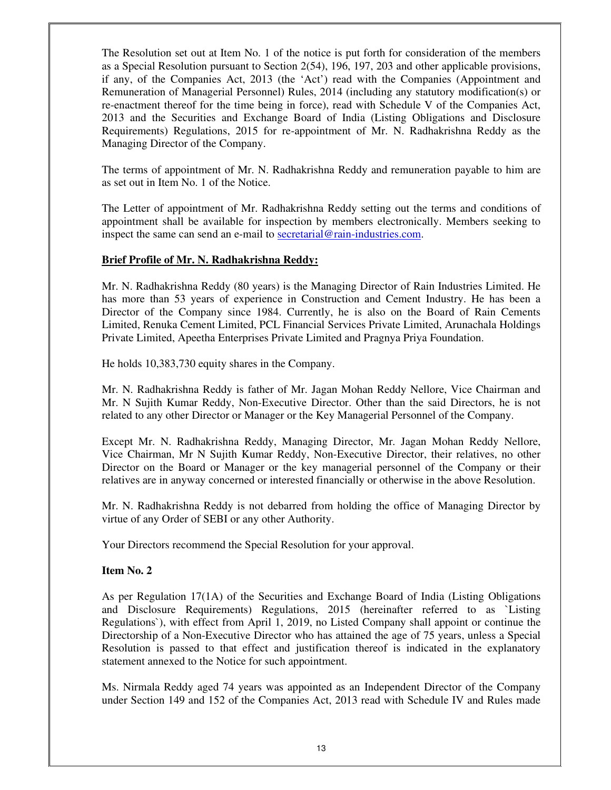The Resolution set out at Item No. 1 of the notice is put forth for consideration of the members as a Special Resolution pursuant to Section 2(54), 196, 197, 203 and other applicable provisions, if any, of the Companies Act, 2013 (the 'Act') read with the Companies (Appointment and Remuneration of Managerial Personnel) Rules, 2014 (including any statutory modification(s) or re-enactment thereof for the time being in force), read with Schedule V of the Companies Act, 2013 and the Securities and Exchange Board of India (Listing Obligations and Disclosure Requirements) Regulations, 2015 for re-appointment of Mr. N. Radhakrishna Reddy as the Managing Director of the Company.

The terms of appointment of Mr. N. Radhakrishna Reddy and remuneration payable to him are as set out in Item No. 1 of the Notice.

The Letter of appointment of Mr. Radhakrishna Reddy setting out the terms and conditions of appointment shall be available for inspection by members electronically. Members seeking to inspect the same can send an e-mail to secretarial@rain-industries.com.

### **Brief Profile of Mr. N. Radhakrishna Reddy:**

Mr. N. Radhakrishna Reddy (80 years) is the Managing Director of Rain Industries Limited. He has more than 53 years of experience in Construction and Cement Industry. He has been a Director of the Company since 1984. Currently, he is also on the Board of Rain Cements Limited, Renuka Cement Limited, PCL Financial Services Private Limited, Arunachala Holdings Private Limited, Apeetha Enterprises Private Limited and Pragnya Priya Foundation.

He holds 10,383,730 equity shares in the Company.

Mr. N. Radhakrishna Reddy is father of Mr. Jagan Mohan Reddy Nellore, Vice Chairman and Mr. N Sujith Kumar Reddy, Non-Executive Director. Other than the said Directors, he is not related to any other Director or Manager or the Key Managerial Personnel of the Company.

Except Mr. N. Radhakrishna Reddy, Managing Director, Mr. Jagan Mohan Reddy Nellore, Vice Chairman, Mr N Sujith Kumar Reddy, Non-Executive Director, their relatives, no other Director on the Board or Manager or the key managerial personnel of the Company or their relatives are in anyway concerned or interested financially or otherwise in the above Resolution.

Mr. N. Radhakrishna Reddy is not debarred from holding the office of Managing Director by virtue of any Order of SEBI or any other Authority.

Your Directors recommend the Special Resolution for your approval.

## **Item No. 2**

As per Regulation 17(1A) of the Securities and Exchange Board of India (Listing Obligations and Disclosure Requirements) Regulations, 2015 (hereinafter referred to as `Listing Regulations`), with effect from April 1, 2019, no Listed Company shall appoint or continue the Directorship of a Non-Executive Director who has attained the age of 75 years, unless a Special Resolution is passed to that effect and justification thereof is indicated in the explanatory statement annexed to the Notice for such appointment.

Ms. Nirmala Reddy aged 74 years was appointed as an Independent Director of the Company under Section 149 and 152 of the Companies Act, 2013 read with Schedule IV and Rules made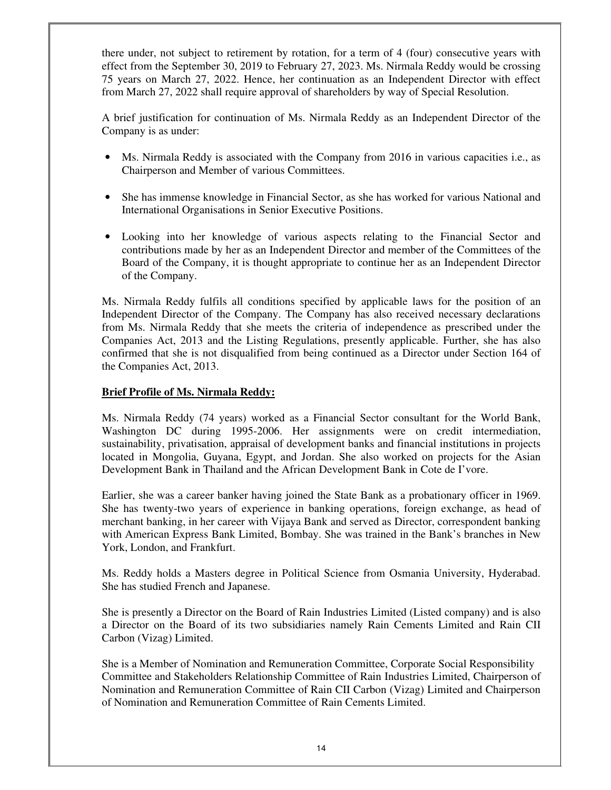there under, not subject to retirement by rotation, for a term of 4 (four) consecutive years with effect from the September 30, 2019 to February 27, 2023. Ms. Nirmala Reddy would be crossing 75 years on March 27, 2022. Hence, her continuation as an Independent Director with effect from March 27, 2022 shall require approval of shareholders by way of Special Resolution.

A brief justification for continuation of Ms. Nirmala Reddy as an Independent Director of the Company is as under:

- Ms. Nirmala Reddy is associated with the Company from 2016 in various capacities i.e., as Chairperson and Member of various Committees.
- She has immense knowledge in Financial Sector, as she has worked for various National and International Organisations in Senior Executive Positions.
- Looking into her knowledge of various aspects relating to the Financial Sector and contributions made by her as an Independent Director and member of the Committees of the Board of the Company, it is thought appropriate to continue her as an Independent Director of the Company.

Ms. Nirmala Reddy fulfils all conditions specified by applicable laws for the position of an Independent Director of the Company. The Company has also received necessary declarations from Ms. Nirmala Reddy that she meets the criteria of independence as prescribed under the Companies Act, 2013 and the Listing Regulations, presently applicable. Further, she has also confirmed that she is not disqualified from being continued as a Director under Section 164 of the Companies Act, 2013.

## **Brief Profile of Ms. Nirmala Reddy:**

Ms. Nirmala Reddy (74 years) worked as a Financial Sector consultant for the World Bank, Washington DC during 1995-2006. Her assignments were on credit intermediation, sustainability, privatisation, appraisal of development banks and financial institutions in projects located in Mongolia, Guyana, Egypt, and Jordan. She also worked on projects for the Asian Development Bank in Thailand and the African Development Bank in Cote de I'vore.

Earlier, she was a career banker having joined the State Bank as a probationary officer in 1969. She has twenty-two years of experience in banking operations, foreign exchange, as head of merchant banking, in her career with Vijaya Bank and served as Director, correspondent banking with American Express Bank Limited, Bombay. She was trained in the Bank's branches in New York, London, and Frankfurt.

Ms. Reddy holds a Masters degree in Political Science from Osmania University, Hyderabad. She has studied French and Japanese.

She is presently a Director on the Board of Rain Industries Limited (Listed company) and is also a Director on the Board of its two subsidiaries namely Rain Cements Limited and Rain CII Carbon (Vizag) Limited.

She is a Member of Nomination and Remuneration Committee, Corporate Social Responsibility Committee and Stakeholders Relationship Committee of Rain Industries Limited, Chairperson of Nomination and Remuneration Committee of Rain CII Carbon (Vizag) Limited and Chairperson of Nomination and Remuneration Committee of Rain Cements Limited.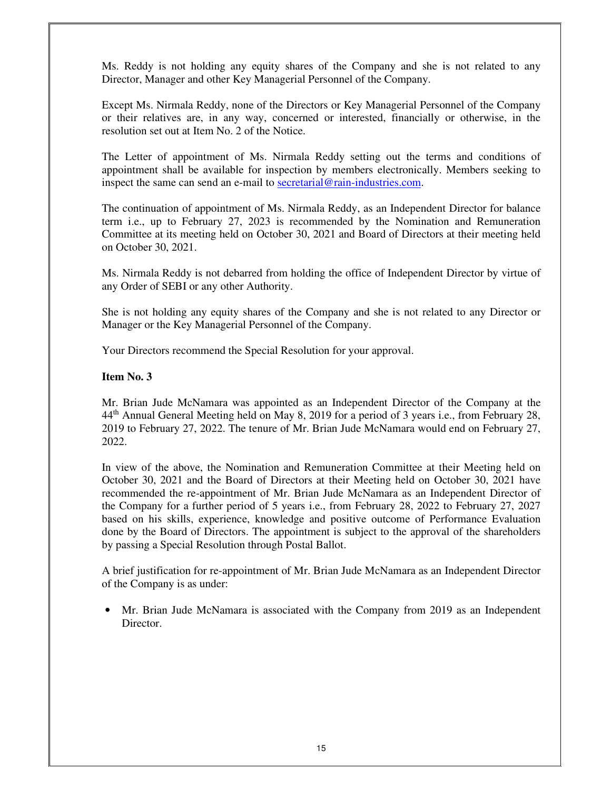Ms. Reddy is not holding any equity shares of the Company and she is not related to any Director, Manager and other Key Managerial Personnel of the Company.

Except Ms. Nirmala Reddy, none of the Directors or Key Managerial Personnel of the Company or their relatives are, in any way, concerned or interested, financially or otherwise, in the resolution set out at Item No. 2 of the Notice.

The Letter of appointment of Ms. Nirmala Reddy setting out the terms and conditions of appointment shall be available for inspection by members electronically. Members seeking to inspect the same can send an e-mail to secretarial@rain-industries.com.

The continuation of appointment of Ms. Nirmala Reddy, as an Independent Director for balance term i.e., up to February 27, 2023 is recommended by the Nomination and Remuneration Committee at its meeting held on October 30, 2021 and Board of Directors at their meeting held on October 30, 2021.

Ms. Nirmala Reddy is not debarred from holding the office of Independent Director by virtue of any Order of SEBI or any other Authority.

She is not holding any equity shares of the Company and she is not related to any Director or Manager or the Key Managerial Personnel of the Company.

Your Directors recommend the Special Resolution for your approval.

### **Item No. 3**

Mr. Brian Jude McNamara was appointed as an Independent Director of the Company at the 44<sup>th</sup> Annual General Meeting held on May 8, 2019 for a period of 3 years i.e., from February 28, 2019 to February 27, 2022. The tenure of Mr. Brian Jude McNamara would end on February 27, 2022.

In view of the above, the Nomination and Remuneration Committee at their Meeting held on October 30, 2021 and the Board of Directors at their Meeting held on October 30, 2021 have recommended the re-appointment of Mr. Brian Jude McNamara as an Independent Director of the Company for a further period of 5 years i.e., from February 28, 2022 to February 27, 2027 based on his skills, experience, knowledge and positive outcome of Performance Evaluation done by the Board of Directors. The appointment is subject to the approval of the shareholders by passing a Special Resolution through Postal Ballot.

A brief justification for re-appointment of Mr. Brian Jude McNamara as an Independent Director of the Company is as under:

• Mr. Brian Jude McNamara is associated with the Company from 2019 as an Independent Director.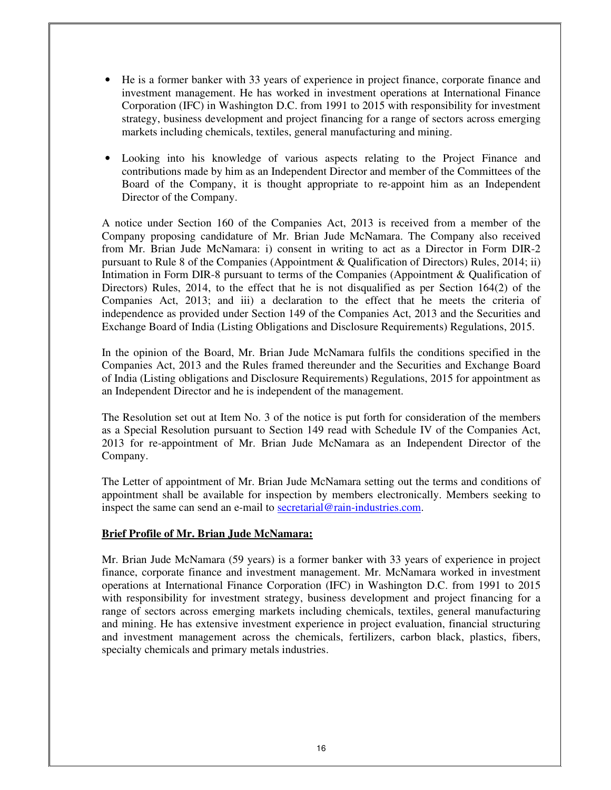- He is a former banker with 33 years of experience in project finance, corporate finance and investment management. He has worked in investment operations at International Finance Corporation (IFC) in Washington D.C. from 1991 to 2015 with responsibility for investment strategy, business development and project financing for a range of sectors across emerging markets including chemicals, textiles, general manufacturing and mining.
- Looking into his knowledge of various aspects relating to the Project Finance and contributions made by him as an Independent Director and member of the Committees of the Board of the Company, it is thought appropriate to re-appoint him as an Independent Director of the Company.

A notice under Section 160 of the Companies Act, 2013 is received from a member of the Company proposing candidature of Mr. Brian Jude McNamara. The Company also received from Mr. Brian Jude McNamara: i) consent in writing to act as a Director in Form DIR-2 pursuant to Rule 8 of the Companies (Appointment & Qualification of Directors) Rules, 2014; ii) Intimation in Form DIR-8 pursuant to terms of the Companies (Appointment & Qualification of Directors) Rules, 2014, to the effect that he is not disqualified as per Section 164(2) of the Companies Act, 2013; and iii) a declaration to the effect that he meets the criteria of independence as provided under Section 149 of the Companies Act, 2013 and the Securities and Exchange Board of India (Listing Obligations and Disclosure Requirements) Regulations, 2015.

In the opinion of the Board, Mr. Brian Jude McNamara fulfils the conditions specified in the Companies Act, 2013 and the Rules framed thereunder and the Securities and Exchange Board of India (Listing obligations and Disclosure Requirements) Regulations, 2015 for appointment as an Independent Director and he is independent of the management.

The Resolution set out at Item No. 3 of the notice is put forth for consideration of the members as a Special Resolution pursuant to Section 149 read with Schedule IV of the Companies Act, 2013 for re-appointment of Mr. Brian Jude McNamara as an Independent Director of the Company.

The Letter of appointment of Mr. Brian Jude McNamara setting out the terms and conditions of appointment shall be available for inspection by members electronically. Members seeking to inspect the same can send an e-mail to secretarial@rain-industries.com.

#### **Brief Profile of Mr. Brian Jude McNamara:**

Mr. Brian Jude McNamara (59 years) is a former banker with 33 years of experience in project finance, corporate finance and investment management. Mr. McNamara worked in investment operations at International Finance Corporation (IFC) in Washington D.C. from 1991 to 2015 with responsibility for investment strategy, business development and project financing for a range of sectors across emerging markets including chemicals, textiles, general manufacturing and mining. He has extensive investment experience in project evaluation, financial structuring and investment management across the chemicals, fertilizers, carbon black, plastics, fibers, specialty chemicals and primary metals industries.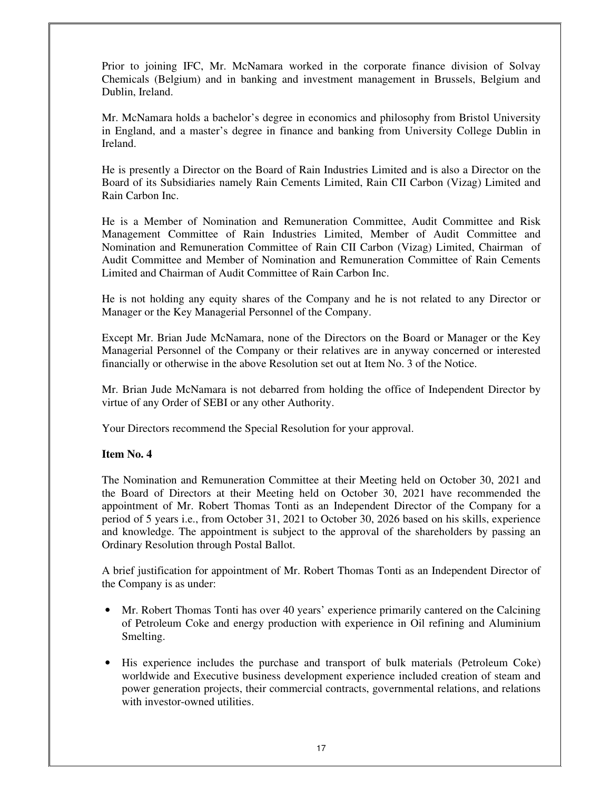Prior to joining IFC, Mr. McNamara worked in the corporate finance division of Solvay Chemicals (Belgium) and in banking and investment management in Brussels, Belgium and Dublin, Ireland.

Mr. McNamara holds a bachelor's degree in economics and philosophy from Bristol University in England, and a master's degree in finance and banking from University College Dublin in Ireland.

He is presently a Director on the Board of Rain Industries Limited and is also a Director on the Board of its Subsidiaries namely Rain Cements Limited, Rain CII Carbon (Vizag) Limited and Rain Carbon Inc.

He is a Member of Nomination and Remuneration Committee, Audit Committee and Risk Management Committee of Rain Industries Limited, Member of Audit Committee and Nomination and Remuneration Committee of Rain CII Carbon (Vizag) Limited, Chairman of Audit Committee and Member of Nomination and Remuneration Committee of Rain Cements Limited and Chairman of Audit Committee of Rain Carbon Inc.

He is not holding any equity shares of the Company and he is not related to any Director or Manager or the Key Managerial Personnel of the Company.

Except Mr. Brian Jude McNamara, none of the Directors on the Board or Manager or the Key Managerial Personnel of the Company or their relatives are in anyway concerned or interested financially or otherwise in the above Resolution set out at Item No. 3 of the Notice.

Mr. Brian Jude McNamara is not debarred from holding the office of Independent Director by virtue of any Order of SEBI or any other Authority.

Your Directors recommend the Special Resolution for your approval.

#### **Item No. 4**

The Nomination and Remuneration Committee at their Meeting held on October 30, 2021 and the Board of Directors at their Meeting held on October 30, 2021 have recommended the appointment of Mr. Robert Thomas Tonti as an Independent Director of the Company for a period of 5 years i.e., from October 31, 2021 to October 30, 2026 based on his skills, experience and knowledge. The appointment is subject to the approval of the shareholders by passing an Ordinary Resolution through Postal Ballot.

A brief justification for appointment of Mr. Robert Thomas Tonti as an Independent Director of the Company is as under:

- Mr. Robert Thomas Tonti has over 40 years' experience primarily cantered on the Calcining of Petroleum Coke and energy production with experience in Oil refining and Aluminium Smelting.
- His experience includes the purchase and transport of bulk materials (Petroleum Coke) worldwide and Executive business development experience included creation of steam and power generation projects, their commercial contracts, governmental relations, and relations with investor-owned utilities.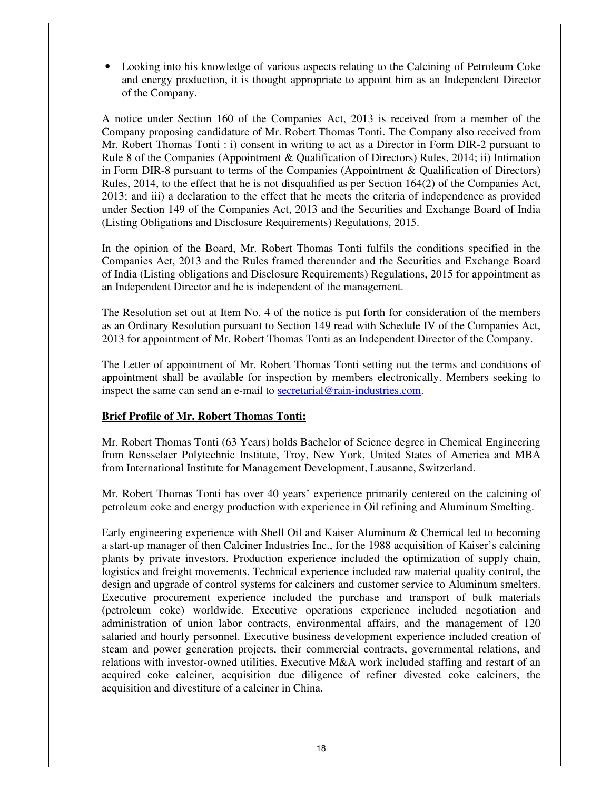• Looking into his knowledge of various aspects relating to the Calcining of Petroleum Coke and energy production, it is thought appropriate to appoint him as an Independent Director of the Company.

A notice under Section 160 of the Companies Act, 2013 is received from a member of the Company proposing candidature of Mr. Robert Thomas Tonti. The Company also received from Mr. Robert Thomas Tonti : i) consent in writing to act as a Director in Form DIR-2 pursuant to Rule 8 of the Companies (Appointment & Qualification of Directors) Rules, 2014; ii) Intimation in Form DIR-8 pursuant to terms of the Companies (Appointment & Qualification of Directors) Rules, 2014, to the effect that he is not disqualified as per Section 164(2) of the Companies Act, 2013; and iii) a declaration to the effect that he meets the criteria of independence as provided under Section 149 of the Companies Act, 2013 and the Securities and Exchange Board of India (Listing Obligations and Disclosure Requirements) Regulations, 2015.

In the opinion of the Board, Mr. Robert Thomas Tonti fulfils the conditions specified in the Companies Act, 2013 and the Rules framed thereunder and the Securities and Exchange Board of India (Listing obligations and Disclosure Requirements) Regulations, 2015 for appointment as an Independent Director and he is independent of the management.

The Resolution set out at Item No. 4 of the notice is put forth for consideration of the members as an Ordinary Resolution pursuant to Section 149 read with Schedule IV of the Companies Act, 2013 for appointment of Mr. Robert Thomas Tonti as an Independent Director of the Company.

The Letter of appointment of Mr. Robert Thomas Tonti setting out the terms and conditions of appointment shall be available for inspection by members electronically. Members seeking to inspect the same can send an e-mail to secretarial@rain-industries.com.

## **Brief Profile of Mr. Robert Thomas Tonti:**

Mr. Robert Thomas Tonti (63 Years) holds Bachelor of Science degree in Chemical Engineering from Rensselaer Polytechnic Institute, Troy, New York, United States of America and MBA from International Institute for Management Development, Lausanne, Switzerland.

Mr. Robert Thomas Tonti has over 40 years' experience primarily centered on the calcining of petroleum coke and energy production with experience in Oil refining and Aluminum Smelting.

Early engineering experience with Shell Oil and Kaiser Aluminum & Chemical led to becoming a start-up manager of then Calciner Industries Inc., for the 1988 acquisition of Kaiser's calcining plants by private investors. Production experience included the optimization of supply chain, logistics and freight movements. Technical experience included raw material quality control, the design and upgrade of control systems for calciners and customer service to Aluminum smelters. Executive procurement experience included the purchase and transport of bulk materials (petroleum coke) worldwide. Executive operations experience included negotiation and administration of union labor contracts, environmental affairs, and the management of 120 salaried and hourly personnel. Executive business development experience included creation of steam and power generation projects, their commercial contracts, governmental relations, and relations with investor-owned utilities. Executive M&A work included staffing and restart of an acquired coke calciner, acquisition due diligence of refiner divested coke calciners, the acquisition and divestiture of a calciner in China.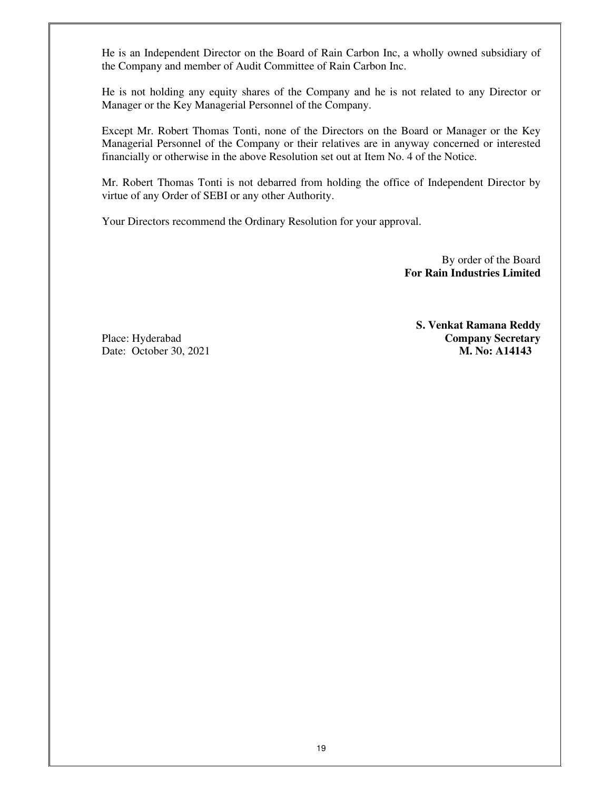He is an Independent Director on the Board of Rain Carbon Inc, a wholly owned subsidiary of the Company and member of Audit Committee of Rain Carbon Inc.

He is not holding any equity shares of the Company and he is not related to any Director or Manager or the Key Managerial Personnel of the Company.

Except Mr. Robert Thomas Tonti, none of the Directors on the Board or Manager or the Key Managerial Personnel of the Company or their relatives are in anyway concerned or interested financially or otherwise in the above Resolution set out at Item No. 4 of the Notice.

Mr. Robert Thomas Tonti is not debarred from holding the office of Independent Director by virtue of any Order of SEBI or any other Authority.

Your Directors recommend the Ordinary Resolution for your approval.

 By order of the Board  **For Rain Industries Limited**

**S. Venkat Ramana Reddy** Place: Hyderabad **Company Secretary** Date: October 30, 2021 **M. No: A14143**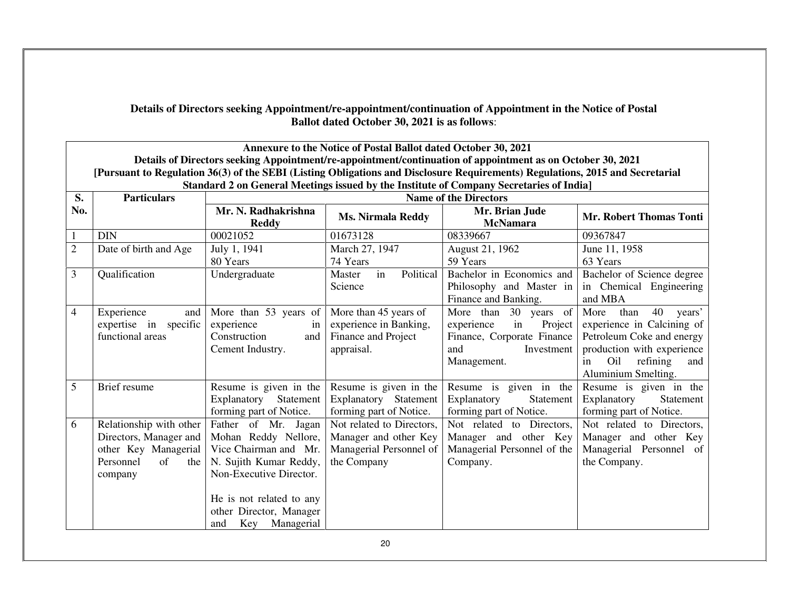| Details of Directors seeking Appointment/re-appointment/continuation of Appointment in the Notice of Postal |
|-------------------------------------------------------------------------------------------------------------|
| <b>Ballot dated October 30, 2021 is as follows:</b>                                                         |

|                | Annexure to the Notice of Postal Ballot dated October 30, 2021                                                                                                                                                                              |                                                                                                                                                                                                              |                                                                                              |                                                                                                                        |                                                                                                                                                                              |  |  |
|----------------|---------------------------------------------------------------------------------------------------------------------------------------------------------------------------------------------------------------------------------------------|--------------------------------------------------------------------------------------------------------------------------------------------------------------------------------------------------------------|----------------------------------------------------------------------------------------------|------------------------------------------------------------------------------------------------------------------------|------------------------------------------------------------------------------------------------------------------------------------------------------------------------------|--|--|
|                | Details of Directors seeking Appointment/re-appointment/continuation of appointment as on October 30, 2021<br>[Pursuant to Regulation 36(3) of the SEBI (Listing Obligations and Disclosure Requirements) Regulations, 2015 and Secretarial |                                                                                                                                                                                                              |                                                                                              |                                                                                                                        |                                                                                                                                                                              |  |  |
| S.             | Standard 2 on General Meetings issued by the Institute of Company Secretaries of India]<br><b>Particulars</b><br><b>Name of the Directors</b>                                                                                               |                                                                                                                                                                                                              |                                                                                              |                                                                                                                        |                                                                                                                                                                              |  |  |
| No.            |                                                                                                                                                                                                                                             | Mr. N. Radhakrishna<br><b>Reddy</b>                                                                                                                                                                          | <b>Ms. Nirmala Reddy</b>                                                                     | Mr. Brian Jude<br><b>McNamara</b>                                                                                      | <b>Mr. Robert Thomas Tonti</b>                                                                                                                                               |  |  |
| 1              | <b>DIN</b>                                                                                                                                                                                                                                  | 00021052                                                                                                                                                                                                     | 01673128                                                                                     | 08339667                                                                                                               | 09367847                                                                                                                                                                     |  |  |
| $\overline{2}$ | Date of birth and Age                                                                                                                                                                                                                       | July 1, 1941<br>80 Years                                                                                                                                                                                     | March 27, 1947<br>74 Years                                                                   | August 21, 1962<br>59 Years                                                                                            | June 11, 1958<br>63 Years                                                                                                                                                    |  |  |
| 3              | Qualification                                                                                                                                                                                                                               | Undergraduate                                                                                                                                                                                                | Political<br>in<br>Master<br>Science                                                         | Bachelor in Economics and<br>Philosophy and Master in<br>Finance and Banking.                                          | Bachelor of Science degree<br>in Chemical Engineering<br>and MBA                                                                                                             |  |  |
| 4              | Experience<br>and<br>expertise in specific<br>functional areas                                                                                                                                                                              | More than 53 years of<br>experience<br>in<br>Construction<br>and<br>Cement Industry.                                                                                                                         | More than 45 years of<br>experience in Banking,<br>Finance and Project<br>appraisal.         | More than 30 years of<br>in<br>experience<br>Project<br>Finance, Corporate Finance<br>and<br>Investment<br>Management. | More<br>than<br>40<br>years'<br>experience in Calcining of<br>Petroleum Coke and energy<br>production with experience<br>Oil<br>refining<br>in<br>and<br>Aluminium Smelting. |  |  |
| 5              | Brief resume                                                                                                                                                                                                                                | Resume is given in the<br>Explanatory<br>Statement<br>forming part of Notice.                                                                                                                                | Resume is given in the<br>Explanatory Statement<br>forming part of Notice.                   | Resume is given in the<br>Explanatory<br>Statement<br>forming part of Notice.                                          | Resume is given in the<br>Explanatory<br>Statement<br>forming part of Notice.                                                                                                |  |  |
| 6              | Relationship with other<br>Directors, Manager and<br>other Key Managerial<br>Personnel<br>of<br>the<br>company                                                                                                                              | Father of Mr. Jagan<br>Mohan Reddy Nellore,<br>Vice Chairman and Mr.<br>N. Sujith Kumar Reddy,<br>Non-Executive Director.<br>He is not related to any<br>other Director, Manager<br>Key<br>Managerial<br>and | Not related to Directors,<br>Manager and other Key<br>Managerial Personnel of<br>the Company | Not related to Directors,<br>Manager and other Key<br>Managerial Personnel of the<br>Company.                          | Not related to Directors,<br>Manager and other Key<br>Managerial Personnel of<br>the Company.                                                                                |  |  |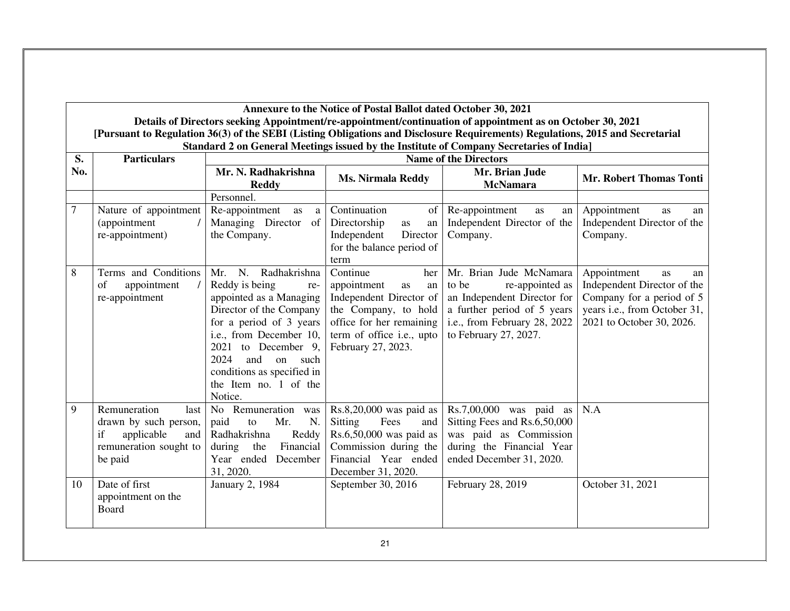**Annexure to the Notice of Postal Ballot dated October 30, 2021 Details of Directors seeking Appointment/re-appointment/continuation of appointment as on October 30, 2021 [Pursuant to Regulation 36(3) of the SEBI (Listing Obligations and Disclosure Requirements) Regulations, 2015 and Secretarial Standard 2 on General Meetings issued by the Institute of Company Secretaries of India]** 

| S.  | <b>Particulars</b>                                                                                            | <b>Name of the Directors</b>                                                                                                                                                                                                                                                         |                                                                                                                                                                              |                                                                                                                                                                            |                                                                                                                                                  |
|-----|---------------------------------------------------------------------------------------------------------------|--------------------------------------------------------------------------------------------------------------------------------------------------------------------------------------------------------------------------------------------------------------------------------------|------------------------------------------------------------------------------------------------------------------------------------------------------------------------------|----------------------------------------------------------------------------------------------------------------------------------------------------------------------------|--------------------------------------------------------------------------------------------------------------------------------------------------|
| No. |                                                                                                               | Mr. N. Radhakrishna<br><b>Reddy</b>                                                                                                                                                                                                                                                  | <b>Ms. Nirmala Reddy</b>                                                                                                                                                     | Mr. Brian Jude<br><b>McNamara</b>                                                                                                                                          | <b>Mr. Robert Thomas Tonti</b>                                                                                                                   |
|     |                                                                                                               | Personnel.                                                                                                                                                                                                                                                                           |                                                                                                                                                                              |                                                                                                                                                                            |                                                                                                                                                  |
| 7   | Nature of appointment<br>(appointment<br>re-appointment)                                                      | Re-appointment<br>as<br>a<br>Managing Director<br>of<br>the Company.                                                                                                                                                                                                                 | Continuation<br>of<br>Directorship<br>as<br>an<br>Independent<br>Director<br>for the balance period of<br>term                                                               | Re-appointment<br><b>as</b><br>an<br>Independent Director of the<br>Company.                                                                                               | Appointment<br><b>as</b><br>an<br>Independent Director of the<br>Company.                                                                        |
| 8   | Terms and Conditions<br>appointment<br>of<br>re-appointment                                                   | Radhakrishna<br>N.<br>Mr.<br>Reddy is being<br>re-<br>appointed as a Managing<br>Director of the Company<br>for a period of 3 years<br>i.e., from December 10,<br>to December 9,<br>2021<br>2024<br>and<br>on such<br>conditions as specified in<br>the Item no. 1 of the<br>Notice. | Continue<br>her<br>appointment<br>as<br>an<br>Independent Director of<br>the Company, to hold<br>office for her remaining<br>term of office i.e., upto<br>February 27, 2023. | Mr. Brian Jude McNamara<br>to be<br>re-appointed as<br>an Independent Director for<br>a further period of 5 years<br>i.e., from February 28, 2022<br>to February 27, 2027. | Appointment<br>as<br>an<br>Independent Director of the<br>Company for a period of 5<br>years i.e., from October 31,<br>2021 to October 30, 2026. |
| 9   | Remuneration<br>last<br>drawn by such person,<br>if<br>applicable<br>and<br>remuneration sought to<br>be paid | No Remuneration was<br>N.<br>paid<br>Mr.<br>to<br>Radhakrishna<br>Reddy<br>Financial<br>during<br>the<br>Year ended December<br>31, 2020.                                                                                                                                            | $Rs.8,20,000$ was paid as<br><b>Sitting</b><br>Fees<br>and<br>Rs.6,50,000 was paid as<br>Commission during the<br>Financial Year ended<br>December 31, 2020.                 | $Rs.7,00,000$ was paid as<br>Sitting Fees and Rs.6,50,000<br>was paid as Commission<br>during the Financial Year<br>ended December 31, 2020.                               | N.A                                                                                                                                              |
| 10  | Date of first<br>appointment on the<br>Board                                                                  | January 2, 1984                                                                                                                                                                                                                                                                      | September 30, 2016                                                                                                                                                           | February 28, 2019                                                                                                                                                          | October 31, 2021                                                                                                                                 |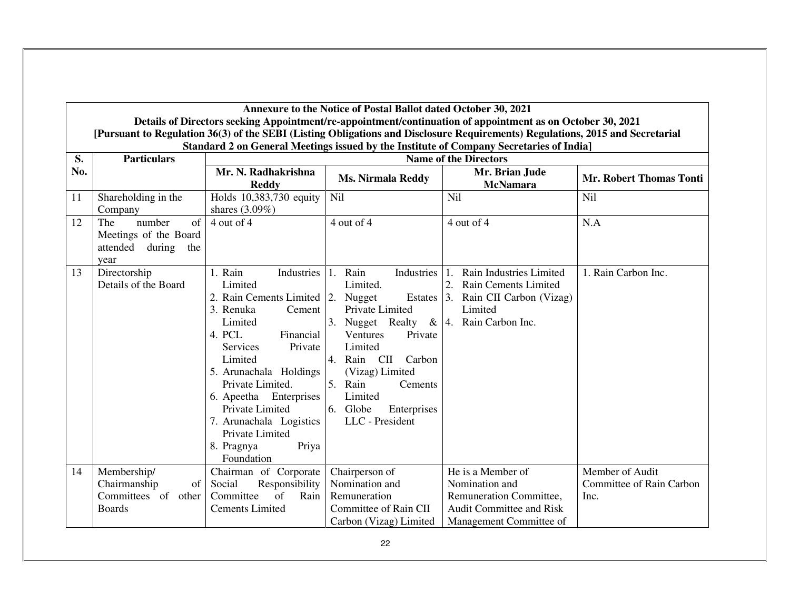**Annexure to the Notice of Postal Ballot dated October 30, 2021** 

 **Details of Directors seeking Appointment/re-appointment/continuation of appointment as on October 30, 2021** [Pursuant to Regulation 36(3) of the SEBI (Listing Obligations and Disclosure Requirements) Regulations, 2015 and Secretarial<br>Standard 2 on General Meetings issued by the Institute of Company Secretaries of India]

| S.  | <b>Particulars</b>    | <b>Name of the Directors</b>        |                                            |                                    |                          |
|-----|-----------------------|-------------------------------------|--------------------------------------------|------------------------------------|--------------------------|
| No. |                       | Mr. N. Radhakrishna<br><b>Reddy</b> | <b>Ms. Nirmala Reddy</b>                   | Mr. Brian Jude<br><b>McNamara</b>  | Mr. Robert Thomas Tonti  |
| 11  | Shareholding in the   | Holds 10,383,730 equity             | Nil                                        | Nil                                | Nil                      |
|     | Company               | shares $(3.09\%)$                   |                                            |                                    |                          |
| 12  | The<br>number<br>of   | 4 out of 4                          | 4 out of 4                                 | 4 out of 4                         | N.A                      |
|     | Meetings of the Board |                                     |                                            |                                    |                          |
|     | attended during the   |                                     |                                            |                                    |                          |
|     | year                  |                                     |                                            |                                    |                          |
| 13  | Directorship          | 1. Rain<br>Industries               | Rain<br>Industries $ 1$ .<br>1.            | Rain Industries Limited            | 1. Rain Carbon Inc.      |
|     | Details of the Board  | Limited                             | Limited.                                   | Rain Cements Limited<br>2.         |                          |
|     |                       | 2. Rain Cements Limited 2. Nugget   |                                            | Estates 3. Rain CII Carbon (Vizag) |                          |
|     |                       | 3. Renuka<br>Cement                 | Private Limited                            | Limited                            |                          |
|     |                       | Limited                             | 3. Nugget Realty & $ 4$ . Rain Carbon Inc. |                                    |                          |
|     |                       | 4. PCL<br>Financial                 | Ventures<br>Private                        |                                    |                          |
|     |                       | <b>Services</b><br>Private          | Limited                                    |                                    |                          |
|     |                       | Limited                             | Rain CII Carbon<br>4.                      |                                    |                          |
|     |                       | 5. Arunachala Holdings              | (Vizag) Limited                            |                                    |                          |
|     |                       | Private Limited.                    | 5. Rain<br>Cements                         |                                    |                          |
|     |                       | 6. Apeetha Enterprises              | Limited                                    |                                    |                          |
|     |                       | Private Limited                     | 6. Globe<br>Enterprises                    |                                    |                          |
|     |                       | 7. Arunachala Logistics             | LLC - President                            |                                    |                          |
|     |                       | Private Limited                     |                                            |                                    |                          |
|     |                       | Priya<br>8. Pragnya<br>Foundation   |                                            |                                    |                          |
| 14  | Membership/           | Chairman of Corporate               | Chairperson of                             | He is a Member of                  | Member of Audit          |
|     | Chairmanship<br>of    | Social<br>Responsibility            | Nomination and                             | Nomination and                     | Committee of Rain Carbon |
|     | Committees of other   | of<br>Rain<br>Committee             | Remuneration                               | Remuneration Committee,            | Inc.                     |
|     | <b>Boards</b>         | <b>Cements Limited</b>              | Committee of Rain CII                      | <b>Audit Committee and Risk</b>    |                          |
|     |                       |                                     | Carbon (Vizag) Limited                     | Management Committee of            |                          |